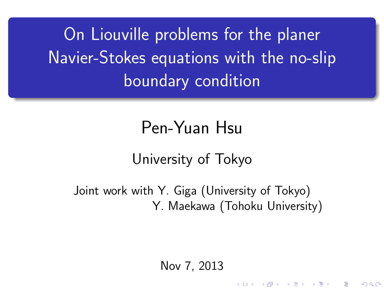On Liouville problems for the planer Navier-Stokes equations with the no-slip boundary condition

# Pen-Yuan Hsu

## University of Tokyo

Joint work with Y. Giga (University of Tokyo) Y. Maekawa (Tohoku University)

Nov 7, 2013

K ロ X K d X X X X X X X X X X X X X X X

つくへ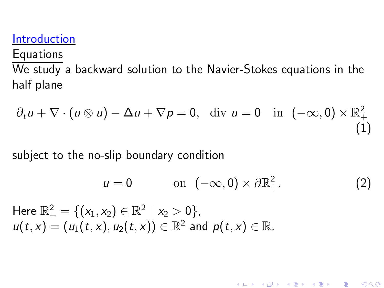#### Introduction

**Equations** 

We study a backward solution to the Navier-Stokes equations in the half plane

$$
\partial_t u + \nabla \cdot (u \otimes u) - \Delta u + \nabla p = 0, \quad \text{div } u = 0 \quad \text{in } (-\infty, 0) \times \mathbb{R}^2_+ \tag{1}
$$

subject to the no-slip boundary condition

$$
u = 0 \qquad \text{on } (-\infty, 0) \times \partial \mathbb{R}^2_+.
$$
 (2)

<span id="page-1-1"></span>《 ロ 》 《 御 》 《 君 》 《 君 》 《 君

<span id="page-1-0"></span> $299$ 

Here  $\mathbb{R}^2_+ = \{(x_1, x_2) \in \mathbb{R}^2 \mid x_2 > 0\}$ ,  $u(t,x)=(u_1(t,x),u_2(t,x))\in\mathbb{R}^2$  and  $p(t,x)\in\mathbb{R}$ .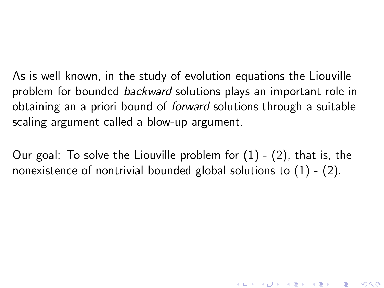As is well known, in the study of evolution equations the Liouville problem for bounded backward solutions plays an important role in obtaining an a priori bound of forward solutions through a suitable scaling argument called a blow-up argument.

Our goal: To solve the Liouville problem for [\(1\)](#page-1-0) - [\(2\)](#page-1-1), that is, the nonexistence of nontrivial bounded global solutions to  $(1)$  -  $(2)$ .

K □ ▶ K @ ▶ K 할 > K 할 > 1 할 > 1 ⊙ Q Q @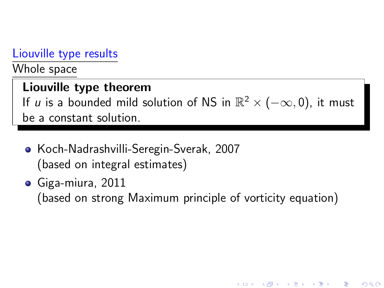#### Liouville type results

Whole space

#### Liouville type theorem

If u is a bounded mild solution of NS in  $\mathbb{R}^2 \times (-\infty, 0)$ , it must be a constant solution.

- Koch-Nadrashvilli-Seregin-Sverak, 2007 (based on integral estimates)
- Giga-miura, 2011

(based on strong Maximum principle of vorticity equation)

K ロ ▶ (K @ ) (K 할 ) (K 할 )

 $2Q$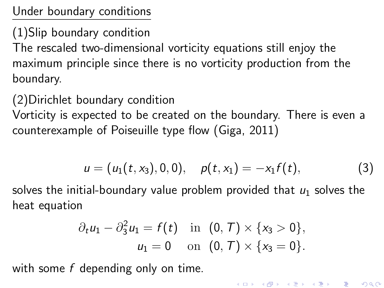Under boundary conditions

(1)Slip boundary condition

The rescaled two-dimensional vorticity equations still enjoy the maximum principle since there is no vorticity production from the boundary.

(2)Dirichlet boundary condition

Vorticity is expected to be created on the boundary. There is even a counterexample of Poiseuille type flow (Giga, 2011)

$$
u = (u_1(t, x_3), 0, 0), \quad p(t, x_1) = -x_1 f(t), \tag{3}
$$

solves the initial-boundary value problem provided that  $u_1$  solves the heat equation

$$
\partial_t u_1 - \partial_3^2 u_1 = f(t)
$$
 in  $(0, T) \times \{x_3 > 0\}$ ,  
\n $u_1 = 0$  on  $(0, T) \times \{x_3 = 0\}$ .

with some f depending only on time.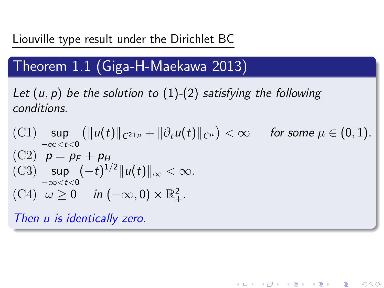#### Liouville type result under the Dirichlet BC

## Theorem 1.1 (Giga-H-Maekawa 2013)

<span id="page-5-0"></span>Let  $(u, p)$  be the solution to  $(1)-(2)$  $(1)-(2)$  $(1)-(2)$  satisfying the following conditions.

$$
\begin{array}{ll}\n\text{(C1)} & \sup\limits_{-\infty < t < 0} \left( \|u(t)\|_{C^{2+\mu}} + \|\partial_t u(t)\|_{C^\mu} \right) < \infty & \text{ for some } \mu \in (0,1). \\
\text{(C2)} & p = p_F + p_H \\
\text{(C3)} & \sup\limits_{-\infty < t < 0} (-t)^{1/2} \|u(t)\|_{\infty} < \infty. \\
\text{(C4)} & \omega \ge 0 & \text{ in } (-\infty,0) \times \mathbb{R}^2_+.\n\end{array}
$$

K ロ ▶ 〈 *同* ▶ 〈 결 ▶ 〈 결 ▶ │ 결

 $2Q$ 

Then u is identically zero.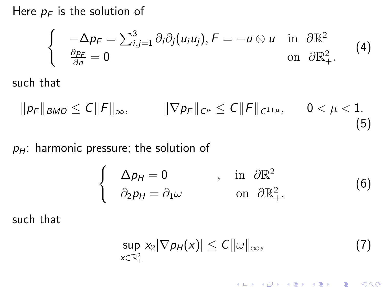Here  $p_F$  is the solution of

$$
\begin{cases}\n-\Delta p_F = \sum_{i,j=1}^3 \partial_i \partial_j (u_i u_j), F = -u \otimes u & \text{in } \partial \mathbb{R}^2 \\
\frac{\partial p_F}{\partial n} = 0 & \text{on } \partial \mathbb{R}^2_+.\n\end{cases}
$$
\n(4)

such that

$$
\|\rho_F\|_{BMO} \le C\|F\|_{\infty}, \qquad \|\nabla\rho_F\|_{C^{\mu}} \le C\|F\|_{C^{1+\mu}}, \qquad 0 < \mu < 1.
$$
\n(5)

 $p_H$ : harmonic pressure; the solution of

$$
\begin{cases}\n\Delta p_H = 0 & , \text{ in } \partial \mathbb{R}^2 \\
\partial_2 p_H = \partial_1 \omega & \text{ on } \partial \mathbb{R}^2_+.\n\end{cases} (6)
$$

such that

$$
\sup_{x\in\mathbb{R}_+^2} x_2|\nabla p_H(x)|\leq C\|\omega\|_\infty,\tag{7}
$$

メロト メタト メミト メミト 一毛

 $2990$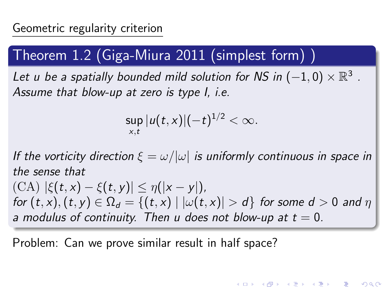## Theorem 1.2 (Giga-Miura 2011 (simplest form) )

Let u be a spatially bounded mild solution for NS in  $(-1,0)\times\mathbb{R}^3$  . Assume that blow-up at zero is type I, i.e.

$$
\sup_{x,t}|u(t,x)|(-t)^{1/2}<\infty.
$$

If the vorticity direction  $\xi = \omega/|\omega|$  is uniformly continuous in space in the sense that (CA)  $|\xi(t,x) - \xi(t,y)| \leq \eta(|x-y|)$ , for  $(t, x)$ ,  $(t, y) \in \Omega_d = \{(t, x) \mid |\omega(t, x)| > d\}$  for some  $d > 0$  and  $\eta$ a modulus of continuity. Then u does not blow-up at  $t = 0$ .

K ロ ▶ 《 리 ▶ 《 코 》 《 코 》 《 코 》 《 코 》 《 이 Q ①

Problem: Can we prove similar result in half space?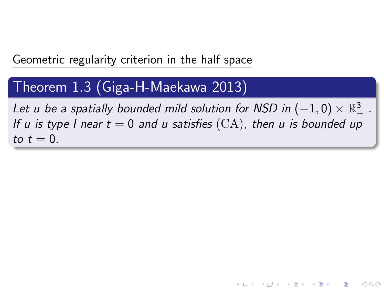Geometric regularity criterion in the half space

#### Theorem 1.3 (Giga-H-Maekawa 2013)

Let u be a spatially bounded mild solution for NSD in  $(-1,0)\times\mathbb{R}^3_+$  . If u is type I near  $t = 0$  and u satisfies  $(CA)$ , then u is bounded up to  $t=0$ .

K ロ ▶ 《 御 》 《 결 》 《 결 》 ○ 결

 $2Q$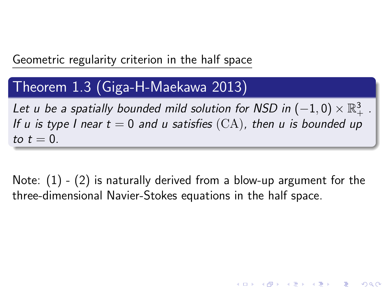Geometric regularity criterion in the half space

#### Theorem 1.3 (Giga-H-Maekawa 2013)

Let u be a spatially bounded mild solution for NSD in  $(-1,0)\times\mathbb{R}^3_+$  . If u is type I near  $t = 0$  and u satisfies  $(CA)$ , then u is bounded up to  $t=0$ .

Note:  $(1)$  -  $(2)$  is naturally derived from a blow-up argument for the three-dimensional Navier-Stokes equations in the half space.

K ロ X K d X X X X X X X X X X X X X X X

 $2Q$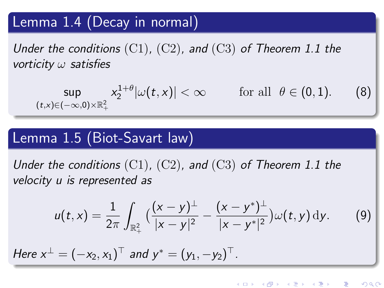## Lemma 1.4 (Decay in normal)

Under the conditions  $(C1)$ ,  $(C2)$ , and  $(C3)$  of Theorem [1.1](#page-5-0) the vorticity  $\omega$  satisfies

$$
\sup_{(t,x)\in(-\infty,0)\times\mathbb{R}^2_+} x_2^{1+\theta}|\omega(t,x)| < \infty \quad \text{for all } \theta \in (0,1). \quad (8)
$$

### Lemma 1.5 (Biot-Savart law)

Under the conditions  $(C1)$ ,  $(C2)$ , and  $(C3)$  of Theorem [1.1](#page-5-0) the velocity u is represented as

$$
u(t,x)=\frac{1}{2\pi}\int_{\mathbb{R}^2_+}\big(\frac{(x-y)^{\perp}}{|x-y|^2}-\frac{(x-y^*)^{\perp}}{|x-y^*|^2}\big)\omega(t,y)\,\mathrm{d}y. \qquad (9)
$$

Here  $x^{\perp} = (-x_2, x_1)^{\top}$  and  $y^* = (y_1, -y_2)^{\top}$ .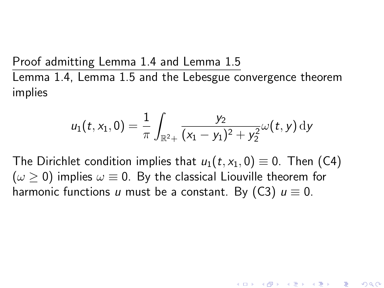Proof admitting Lemma 1.4 and Lemma 1.5

Lemma 1.4, Lemma 1.5 and the Lebesgue convergence theorem implies

$$
u_1(t, x_1, 0) = \frac{1}{\pi} \int_{\mathbb{R}^2 +} \frac{y_2}{(x_1 - y_1)^2 + y_2^2} \omega(t, y) \, dy
$$

The Dirichlet condition implies that  $u_1(t, x_1, 0) \equiv 0$ . Then (C4)  $(\omega > 0)$  implies  $\omega \equiv 0$ . By the classical Liouville theorem for harmonic functions u must be a constant. By (C3)  $u \equiv 0$ .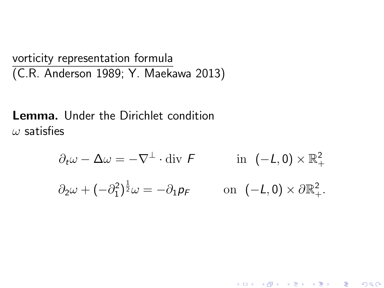vorticity representation formula (C.R. Anderson 1989; Y. Maekawa 2013)

Lemma. Under the Dirichlet condition  $\omega$  satisfies

$$
\partial_t \omega - \Delta \omega = -\nabla^{\perp} \cdot \text{div } \mathsf{F} \qquad \text{in } (-\mathsf{L}, 0) \times \mathbb{R}_+^2
$$

$$
\partial_2 \omega + (-\partial_1^2)^{\frac{1}{2}} \omega = -\partial_1 \mathsf{p}_\mathsf{F} \qquad \text{on } (-\mathsf{L}, 0) \times \partial \mathbb{R}_+^2.
$$

K ロ ▶ ( d ) | K 글 ) | K 글 ) | [ 글 | 10 Q Q Q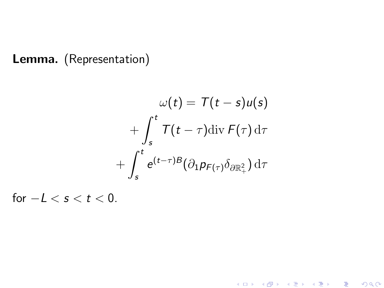#### Lemma. (Representation)

$$
\omega(t) = T(t - s)u(s)
$$

$$
+ \int_{s}^{t} T(t - \tau) \operatorname{div} F(\tau) d\tau
$$

$$
+ \int_{s}^{t} e^{(t - \tau)B} (\partial_{1} p_{F(\tau)} \delta_{\partial \mathbb{R}^{2}_{+}}) d\tau
$$

for  $-L < s < t < 0$ .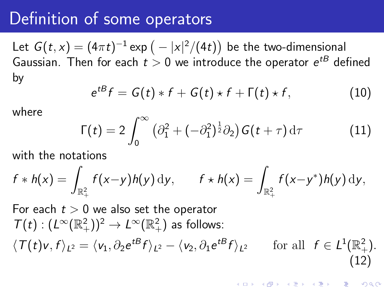# Definition of some operators

Let  $G(t,x)=(4\pi t)^{-1}$  exp  $\big(-|x|^2/(4t)\big)$  be the two-dimensional Gaussian. Then for each  $t>0$  we introduce the operator  $e^{tB}$  defined by

$$
e^{tB}f = G(t) * f + G(t) * f + \Gamma(t) * f, \qquad (10)
$$

where

$$
\Gamma(t) = 2 \int_0^\infty \left( \partial_1^2 + (-\partial_1^2)^{\frac{1}{2}} \partial_2 \right) G(t+\tau) d\tau \tag{11}
$$

with the notations

$$
f * h(x) = \int_{\mathbb{R}_+^2} f(x-y)h(y) dy, \qquad f * h(x) = \int_{\mathbb{R}_+^2} f(x-y^*)h(y) dy,
$$

For each 
$$
t > 0
$$
 we also set the operator  
\n
$$
T(t) : (L^{\infty}(\mathbb{R}^2_+))^2 \to L^{\infty}(\mathbb{R}^2_+)
$$
 as follows:  
\n
$$
\langle T(t)v, f \rangle_{L^2} = \langle v_1, \partial_2 e^{tB} f \rangle_{L^2} - \langle v_2, \partial_1 e^{tB} f \rangle_{L^2}
$$
 for all  $f \in L^1(\mathbb{R}^2_+).$   
\n(12)